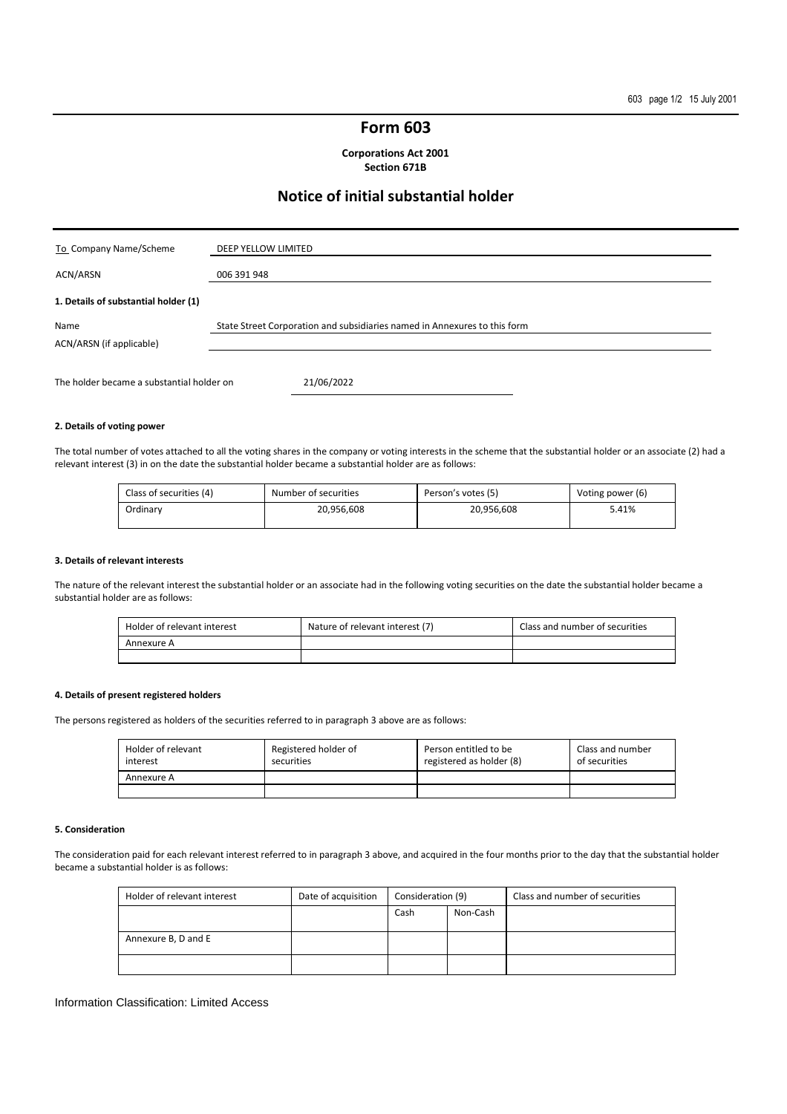### **Form 603**

**Corporations Act 2001 Section 671B** 

### **Notice of initial substantial holder**

| To Company Name/Scheme                    | DEEP YELLOW LIMITED                                                       |
|-------------------------------------------|---------------------------------------------------------------------------|
| ACN/ARSN                                  | 006 391 948                                                               |
| 1. Details of substantial holder (1)      |                                                                           |
| Name<br>ACN/ARSN (if applicable)          | State Street Corporation and subsidiaries named in Annexures to this form |
| The holder became a substantial holder on | 21/06/2022                                                                |

### **2. Details of voting power**

The total number of votes attached to all the voting shares in the company or voting interests in the scheme that the substantial holder or an associate (2) had a relevant interest (3) in on the date the substantial holder became a substantial holder are as follows:

| Class of securities (4) | Number of securities | Person's votes (5) | Voting power (6) |
|-------------------------|----------------------|--------------------|------------------|
| Ordinarv                | 20.956.608           | 20.956.608         | 5.41%            |

#### **3. Details of relevant interests**

The nature of the relevant interest the substantial holder or an associate had in the following voting securities on the date the substantial holder became a substantial holder are as follows:

| Holder of relevant interest | Nature of relevant interest (7) | Class and number of securities |
|-----------------------------|---------------------------------|--------------------------------|
| Annexure A                  |                                 |                                |
|                             |                                 |                                |

### **4. Details of present registered holders**

The persons registered as holders of the securities referred to in paragraph 3 above are as follows:

| Holder of relevant<br>interest | Registered holder of<br>securities | Person entitled to be<br>registered as holder (8) | Class and number<br>of securities |
|--------------------------------|------------------------------------|---------------------------------------------------|-----------------------------------|
| Annexure A                     |                                    |                                                   |                                   |
|                                |                                    |                                                   |                                   |

### **5. Consideration**

The consideration paid for each relevant interest referred to in paragraph 3 above, and acquired in the four months prior to the day that the substantial holder became a substantial holder is as follows:

| Holder of relevant interest | Date of acquisition | Consideration (9) |          | Class and number of securities |
|-----------------------------|---------------------|-------------------|----------|--------------------------------|
|                             |                     | Cash              | Non-Cash |                                |
|                             |                     |                   |          |                                |
| Annexure B, D and E         |                     |                   |          |                                |
|                             |                     |                   |          |                                |

#### Information Classification: Limited Access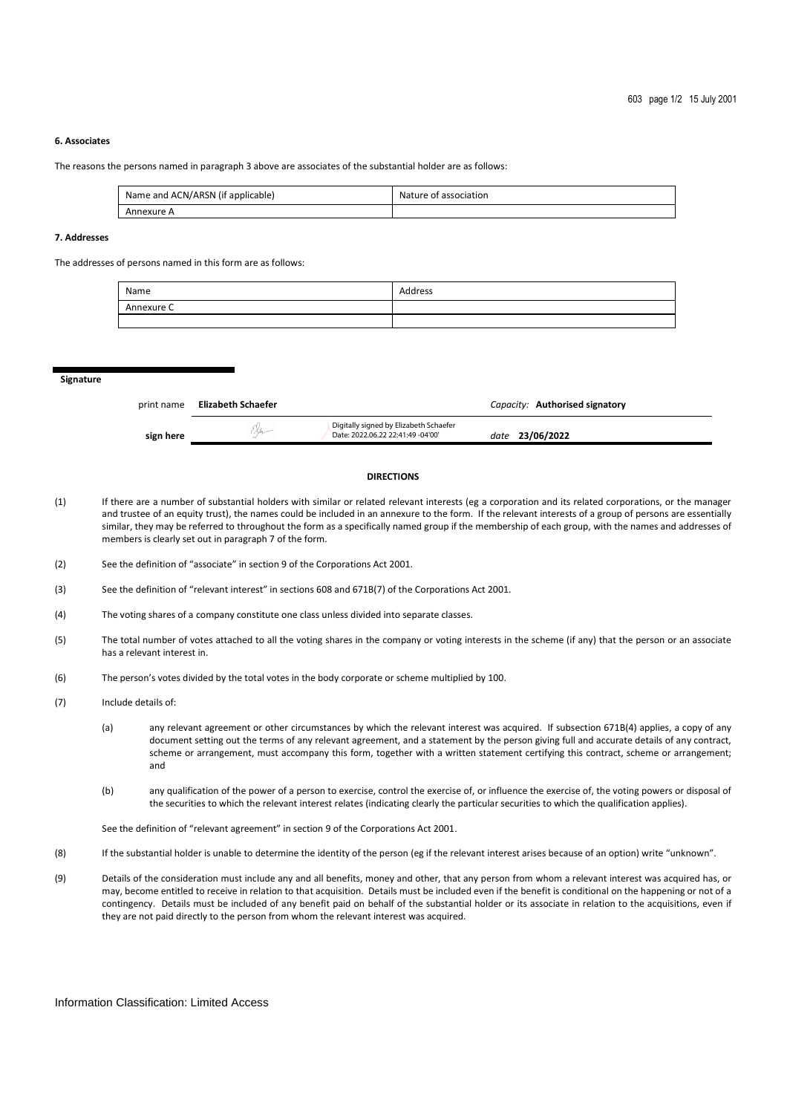### **6. Associates**

The reasons the persons named in paragraph 3 above are associates of the substantial holder are as follows:

| Name and ACN/ARSN (if applicable) | Nature of association |
|-----------------------------------|-----------------------|
| Annexure A                        |                       |

### **7. Addresses**

The addresses of persons named in this form are as follows:

| Name       | Address |
|------------|---------|
| Annexure C |         |
|            |         |

**Signature** 

| print name | Elizabeth Schaefer |                                                                             | Capacity: Authorised signatory |  |
|------------|--------------------|-----------------------------------------------------------------------------|--------------------------------|--|
| sign here  |                    | Digitally signed by Elizabeth Schaefer<br>Date: 2022.06.22 22:41:49 -04'00' | date 23/06/2022                |  |

### **DIRECTIONS**

- (1) If there are a number of substantial holders with similar or related relevant interests (eg a corporation and its related corporations, or the manager and trustee of an equity trust), the names could be included in an annexure to the form. If the relevant interests of a group of persons are essentially similar, they may be referred to throughout the form as a specifically named group if the membership of each group, with the names and addresses of members is clearly set out in paragraph 7 of the form.
- (2) See the definition of "associate" in section 9 of the Corporations Act 2001.
- (3) See the definition of "relevant interest" in sections 608 and 671B(7) of the Corporations Act 2001.
- (4) The voting shares of a company constitute one class unless divided into separate classes.
- (5) The total number of votes attached to all the voting shares in the company or voting interests in the scheme (if any) that the person or an associate has a relevant interest in.
- (6) The person's votes divided by the total votes in the body corporate or scheme multiplied by 100.
- (7) Include details of:
	- (a) any relevant agreement or other circumstances by which the relevant interest was acquired. If subsection 671B(4) applies, a copy of any document setting out the terms of any relevant agreement, and a statement by the person giving full and accurate details of any contract, scheme or arrangement, must accompany this form, together with a written statement certifying this contract, scheme or arrangement; and
	- (b) any qualification of the power of a person to exercise, control the exercise of, or influence the exercise of, the voting powers or disposal of the securities to which the relevant interest relates (indicating clearly the particular securities to which the qualification applies).

See the definition of "relevant agreement" in section 9 of the Corporations Act 2001.

- (8) If the substantial holder is unable to determine the identity of the person (eg if the relevant interest arises because of an option) write "unknown".
- (9) Details of the consideration must include any and all benefits, money and other, that any person from whom a relevant interest was acquired has, or may, become entitled to receive in relation to that acquisition. Details must be included even if the benefit is conditional on the happening or not of a contingency. Details must be included of any benefit paid on behalf of the substantial holder or its associate in relation to the acquisitions, even if they are not paid directly to the person from whom the relevant interest was acquired.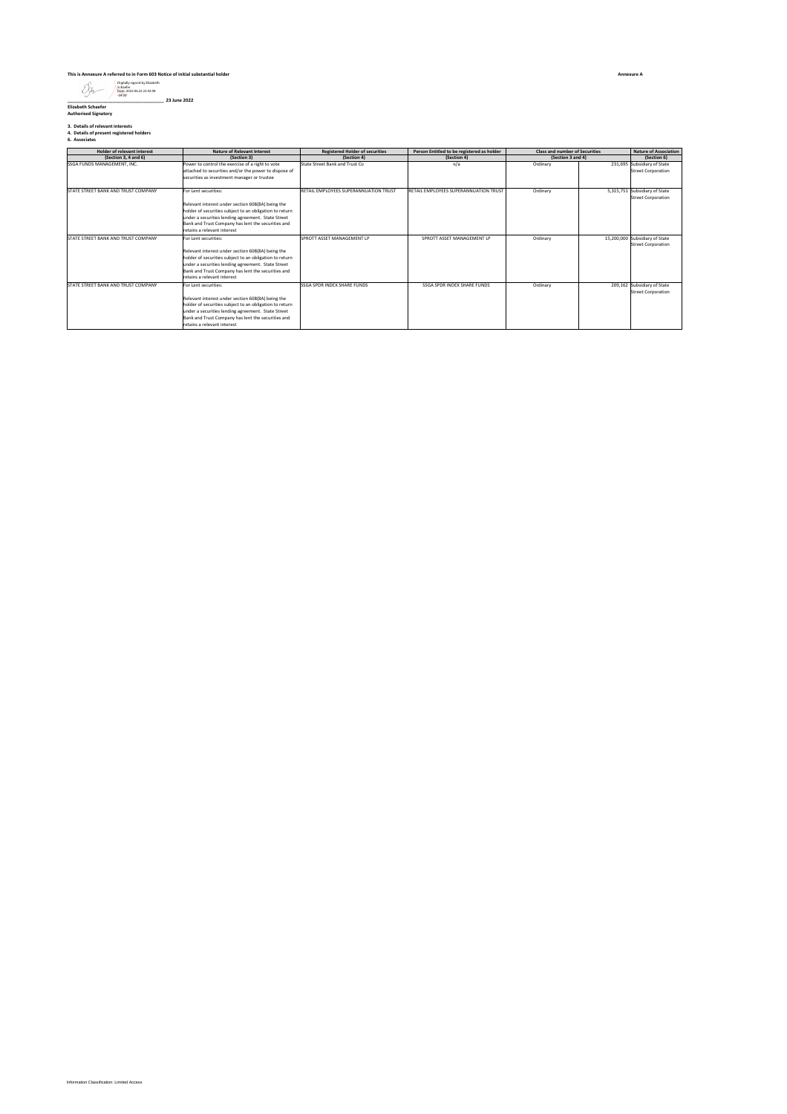### **This is Annexure A referred to in Form 603 Notice of initial substantial holder**

### Digitally signed by Elizabeth Schaefer Date: 2022.06.22 22:42:08 -04'00'

**\_\_\_\_\_\_\_\_\_\_\_\_\_\_\_\_\_\_\_\_\_\_\_\_\_\_\_\_\_\_\_\_\_\_\_\_\_\_ 23 June 2022 Elizabeth Schaefer Authorised Signatory**

## **3. Details of relevant interests 4. Details of present registered holders 6. Associates**

| <b>Holder of relevant interest</b>  | <b>Nature of Relevant Interest</b>                                                                                                                                                                                                                                              | <b>Registered Holder of securities</b> | Person Entitled to be registered as holder | <b>Class and number of Securities</b> | <b>Nature of Association</b>                                |
|-------------------------------------|---------------------------------------------------------------------------------------------------------------------------------------------------------------------------------------------------------------------------------------------------------------------------------|----------------------------------------|--------------------------------------------|---------------------------------------|-------------------------------------------------------------|
| (Section 3, 4 and 6)                | (Section 3)                                                                                                                                                                                                                                                                     | (Section 4)                            | (Section 4)                                | (Section 3 and 4)                     | (Section 6)                                                 |
| SSGA FUNDS MANAGEMENT. INC.         | Power to control the exercise of a right to vote<br>attached to securities and/or the power to dispose of<br>securities as investment manager or trustee                                                                                                                        | State Street Bank and Trust Co         | n/a                                        | Ordinary                              | 231,695 Subsidiary of State<br><b>Street Corporation</b>    |
| STATE STREET BANK AND TRUST COMPANY | For Lent securities:<br>Relevant interest under section 608(8A) being the<br>holder of securities subject to an obligation to return<br>under a securities lending agreement. State Street<br>Bank and Trust Company has lent the securities and<br>retains a relevant interest | RETAIL EMPLOYEES SUPERANNUATION TRUST  | RETAIL EMPLOYEES SUPERANNUATION TRUST      | Ordinary                              | 5,315,751 Subsidiary of State<br><b>Street Corporation</b>  |
| STATE STREET BANK AND TRUST COMPANY | For Lent securities:<br>Relevant interest under section 608(8A) being the<br>holder of securities subject to an obligation to return<br>under a securities lending agreement. State Street<br>Bank and Trust Company has lent the securities and<br>retains a relevant interest | SPROTT ASSET MANAGEMENT LP             | SPROTT ASSET MANAGEMENT I P                | Ordinary                              | 15,200,000 Subsidiary of State<br><b>Street Corporation</b> |
| STATE STREET BANK AND TRUST COMPANY | For Lent securities:<br>Relevant interest under section 608(8A) being the<br>holder of securities subject to an obligation to return<br>under a securities lending agreement. State Street<br>Bank and Trust Company has lent the securities and<br>retains a relevant interest | <b>SSGA SPDR INDEX SHARE FUNDS</b>     | SSGA SPDR INDEX SHARE FUNDS                | Ordinary                              | 209,162 Subsidiary of State<br><b>Street Corporation</b>    |

**Annexure A**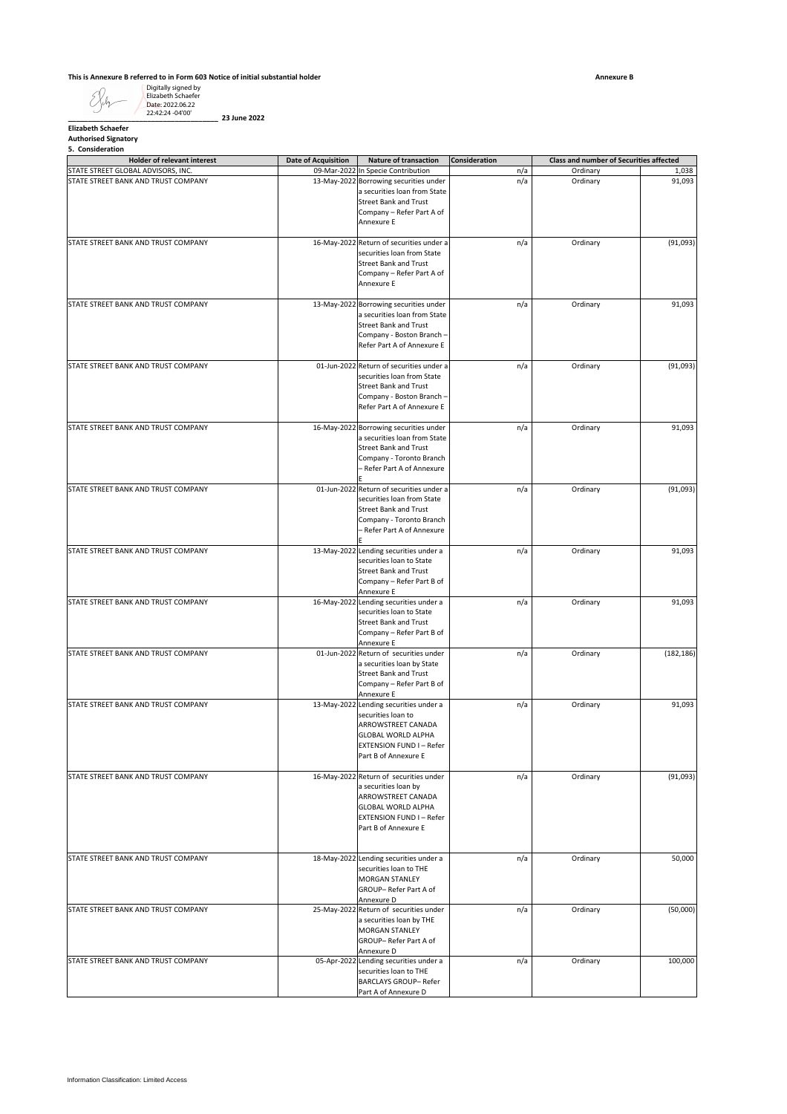### **This is Annexure B referred to in Form 603 Notice of initial substantial holder**

# **Elizabeth Schaefer Authorised Signatory 5. Consideration**

| <b>Elizabeth Schaefer</b><br><b>Authorised Signatory</b><br>5. Consideration |                            |                                                                                                                                                                                         |                      |                                                |                 |
|------------------------------------------------------------------------------|----------------------------|-----------------------------------------------------------------------------------------------------------------------------------------------------------------------------------------|----------------------|------------------------------------------------|-----------------|
| Holder of relevant interest                                                  | <b>Date of Acquisition</b> | Nature of transaction                                                                                                                                                                   | <b>Consideration</b> | <b>Class and number of Securities affected</b> |                 |
| STATE STREET GLOBAL ADVISORS, INC.<br>STATE STREET BANK AND TRUST COMPANY    |                            | 09-Mar-2022 In Specie Contribution<br>13-May-2022 Borrowing securities under<br>a securities loan from State<br><b>Street Bank and Trust</b><br>Company - Refer Part A of<br>Annexure E | n/a<br>n/a           | Ordinary<br>Ordinary                           | 1,038<br>91,093 |
| STATE STREET BANK AND TRUST COMPANY                                          | 16-May-2022                | Return of securities under a<br>securities loan from State<br><b>Street Bank and Trust</b><br>Company - Refer Part A of<br>Annexure E                                                   | n/a                  | Ordinary                                       | (91, 093)       |
| STATE STREET BANK AND TRUST COMPANY                                          |                            | 13-May-2022 Borrowing securities under<br>a securities loan from State<br><b>Street Bank and Trust</b><br>Company - Boston Branch -<br>Refer Part A of Annexure E                       | n/a                  | Ordinary                                       | 91,093          |
| STATE STREET BANK AND TRUST COMPANY                                          |                            | 01-Jun-2022 Return of securities under a<br>securities loan from State<br><b>Street Bank and Trust</b><br>Company - Boston Branch -<br>Refer Part A of Annexure E                       | n/a                  | Ordinary                                       | (91,093)        |
| STATE STREET BANK AND TRUST COMPANY                                          |                            | 16-May-2022 Borrowing securities under<br>a securities loan from State<br><b>Street Bank and Trust</b><br>Company - Toronto Branch<br>- Refer Part A of Annexure                        | n/a                  | Ordinary                                       | 91,093          |
| STATE STREET BANK AND TRUST COMPANY                                          |                            | 01-Jun-2022 Return of securities under a<br>securities loan from State<br><b>Street Bank and Trust</b><br>Company - Toronto Branch<br>- Refer Part A of Annexure                        | n/a                  | Ordinary                                       | (91,093)        |
| STATE STREET BANK AND TRUST COMPANY                                          |                            | 13-May-2022 Lending securities under a<br>securities loan to State<br><b>Street Bank and Trust</b><br>Company - Refer Part B of<br>Annexure E                                           | n/a                  | Ordinary                                       | 91,093          |
| STATE STREET BANK AND TRUST COMPANY                                          |                            | 16-May-2022 Lending securities under a<br>securities loan to State<br><b>Street Bank and Trust</b><br>Company - Refer Part B of<br>Annexure E                                           | n/a                  | Ordinary                                       | 91,093          |
| STATE STREET BANK AND TRUST COMPANY                                          |                            | 01-Jun-2022 Return of securities under<br>a securities loan by State<br><b>Street Bank and Trust</b><br>Company - Refer Part B of<br>Annexure E                                         | n/a                  | Ordinary                                       | (182, 186)      |
| STATE STREET BANK AND TRUST COMPANY                                          |                            | 13-May-2022 Lending securities under a<br>securities loan to<br>ARROWSTREET CANADA<br><b>GLOBAL WORLD ALPHA</b><br><b>EXTENSION FUND I-Refer</b><br>Part B of Annexure E                | n/a                  | Ordinary                                       | 91,093          |
| STATE STREET BANK AND TRUST COMPANY                                          |                            | 16-May-2022 Return of securities under<br>a securities loan by<br>ARROWSTREET CANADA<br><b>GLOBAL WORLD ALPHA</b><br><b>EXTENSION FUND I-Refer</b><br>Part B of Annexure E              | n/a                  | Ordinary                                       | (91,093)        |
| STATE STREET BANK AND TRUST COMPANY                                          |                            | 18-May-2022 Lending securities under a<br>securities loan to THE<br>MORGAN STANLEY<br>GROUP-Refer Part A of<br>Annexure D                                                               | n/a                  | Ordinary                                       | 50,000          |
| STATE STREET BANK AND TRUST COMPANY                                          |                            | 25-May-2022 Return of securities under<br>a securities loan by THE<br>MORGAN STANLEY<br>GROUP-Refer Part A of<br>Annexure D                                                             | n/a                  | Ordinary                                       | (50,000)        |
| STATE STREET BANK AND TRUST COMPANY                                          |                            | 05-Apr-2022 Lending securities under a<br>securities loan to THE<br>BARCLAYS GROUP- Refer<br>Part A of Annexure D                                                                       | n/a                  | Ordinary                                       | 100,000         |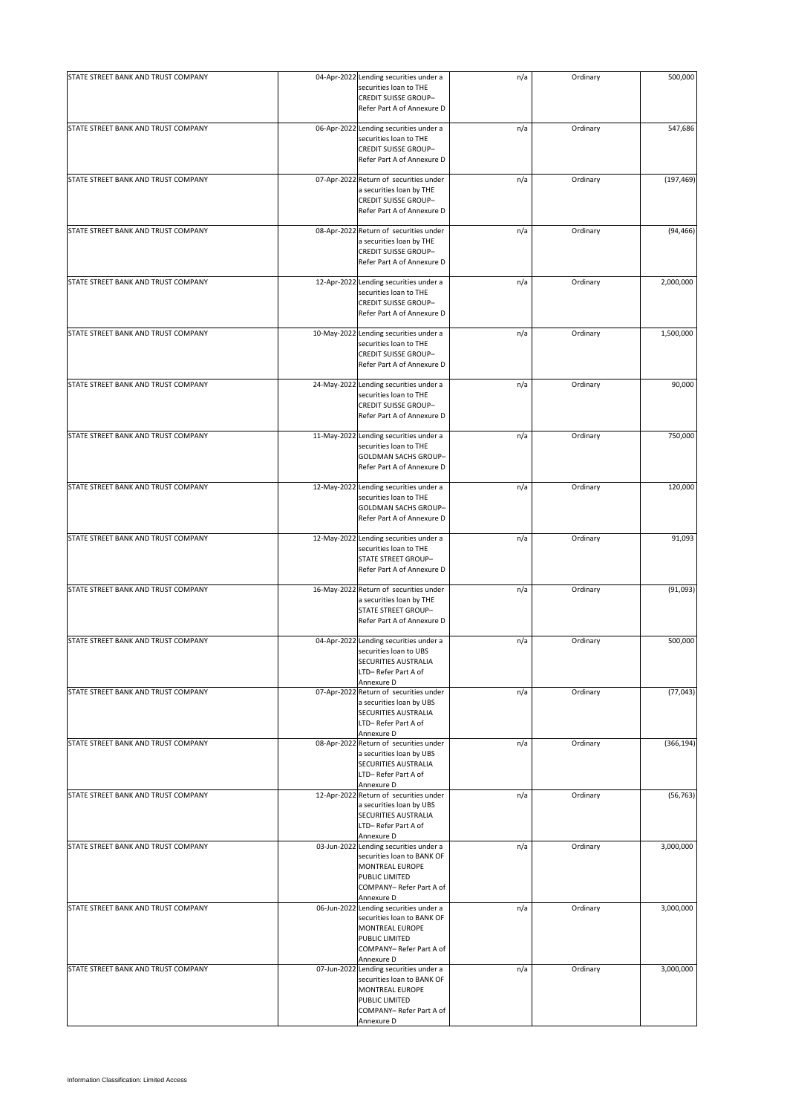| STATE STREET BANK AND TRUST COMPANY | 04-Apr-2022 Lending securities under a<br>securities loan to THE<br><b>CREDIT SUISSE GROUP-</b><br>Refer Part A of Annexure D                       | n/a | Ordinary | 500,000    |
|-------------------------------------|-----------------------------------------------------------------------------------------------------------------------------------------------------|-----|----------|------------|
| STATE STREET BANK AND TRUST COMPANY | 06-Apr-2022 Lending securities under a<br>securities loan to THE<br><b>CREDIT SUISSE GROUP-</b><br>Refer Part A of Annexure D                       | n/a | Ordinary | 547,686    |
| STATE STREET BANK AND TRUST COMPANY | 07-Apr-2022 Return of securities under<br>a securities loan by THE<br><b>CREDIT SUISSE GROUP-</b><br>Refer Part A of Annexure D                     | n/a | Ordinary | (197, 469) |
| STATE STREET BANK AND TRUST COMPANY | 08-Apr-2022 Return of securities under<br>a securities loan by THE<br><b>CREDIT SUISSE GROUP-</b><br>Refer Part A of Annexure D                     | n/a | Ordinary | (94, 466)  |
| STATE STREET BANK AND TRUST COMPANY | 12-Apr-2022 Lending securities under a<br>securities loan to THE<br><b>CREDIT SUISSE GROUP-</b><br>Refer Part A of Annexure D                       | n/a | Ordinary | 2,000,000  |
| STATE STREET BANK AND TRUST COMPANY | 10-May-2022 Lending securities under a<br>securities loan to THE<br><b>CREDIT SUISSE GROUP-</b><br>Refer Part A of Annexure D                       | n/a | Ordinary | 1,500,000  |
| STATE STREET BANK AND TRUST COMPANY | 24-May-2022 Lending securities under a<br>securities loan to THE<br><b>CREDIT SUISSE GROUP-</b><br>Refer Part A of Annexure D                       | n/a | Ordinary | 90,000     |
| STATE STREET BANK AND TRUST COMPANY | 11-May-2022 Lending securities under a<br>securities loan to THE<br>GOLDMAN SACHS GROUP-<br>Refer Part A of Annexure D                              | n/a | Ordinary | 750,000    |
| STATE STREET BANK AND TRUST COMPANY | 12-May-2022 Lending securities under a<br>securities loan to THE<br>GOLDMAN SACHS GROUP-<br>Refer Part A of Annexure D                              | n/a | Ordinary | 120,000    |
| STATE STREET BANK AND TRUST COMPANY | 12-May-2022 Lending securities under a<br>securities loan to THE<br>STATE STREET GROUP-<br>Refer Part A of Annexure D                               | n/a | Ordinary | 91,093     |
| STATE STREET BANK AND TRUST COMPANY | 16-May-2022 Return of securities under<br>a securities loan by THE<br>STATE STREET GROUP-<br>Refer Part A of Annexure D                             | n/a | Ordinary | (91,093)   |
| STATE STREET BANK AND TRUST COMPANY | 04-Apr-2022 Lending securities under a<br>securities loan to UBS<br>SECURITIES AUSTRALIA<br>LTD-Refer Part A of<br>Annexure D                       | n/a | Ordinary | 500,000    |
| STATE STREET BANK AND TRUST COMPANY | 07-Apr-2022 Return of securities under<br>a securities loan by UBS<br>SECURITIES AUSTRALIA<br>LTD-Refer Part A of<br>Annexure D                     | n/a | Ordinary | (77, 043)  |
| STATE STREET BANK AND TRUST COMPANY | 08-Apr-2022 Return of securities under<br>a securities loan by UBS<br>SECURITIES AUSTRALIA<br>LTD-Refer Part A of<br>Annexure D                     | n/a | Ordinary | (366, 194) |
| STATE STREET BANK AND TRUST COMPANY | 12-Apr-2022 Return of securities under<br>a securities loan by UBS<br>SECURITIES AUSTRALIA<br>LTD-Refer Part A of<br>Annexure D                     | n/a | Ordinary | (56, 763)  |
| STATE STREET BANK AND TRUST COMPANY | 03-Jun-2022 Lending securities under a<br>securities loan to BANK OF<br>MONTREAL EUROPE<br>PUBLIC LIMITED<br>COMPANY- Refer Part A of<br>Annexure D | n/a | Ordinary | 3,000,000  |
| STATE STREET BANK AND TRUST COMPANY | 06-Jun-2022 Lending securities under a<br>securities loan to BANK OF<br>MONTREAL EUROPE<br>PUBLIC LIMITED<br>COMPANY- Refer Part A of<br>Annexure D | n/a | Ordinary | 3,000,000  |
| STATE STREET BANK AND TRUST COMPANY | 07-Jun-2022 Lending securities under a<br>securities loan to BANK OF<br>MONTREAL EUROPE<br>PUBLIC LIMITED<br>COMPANY- Refer Part A of<br>Annexure D | n/a | Ordinary | 3,000,000  |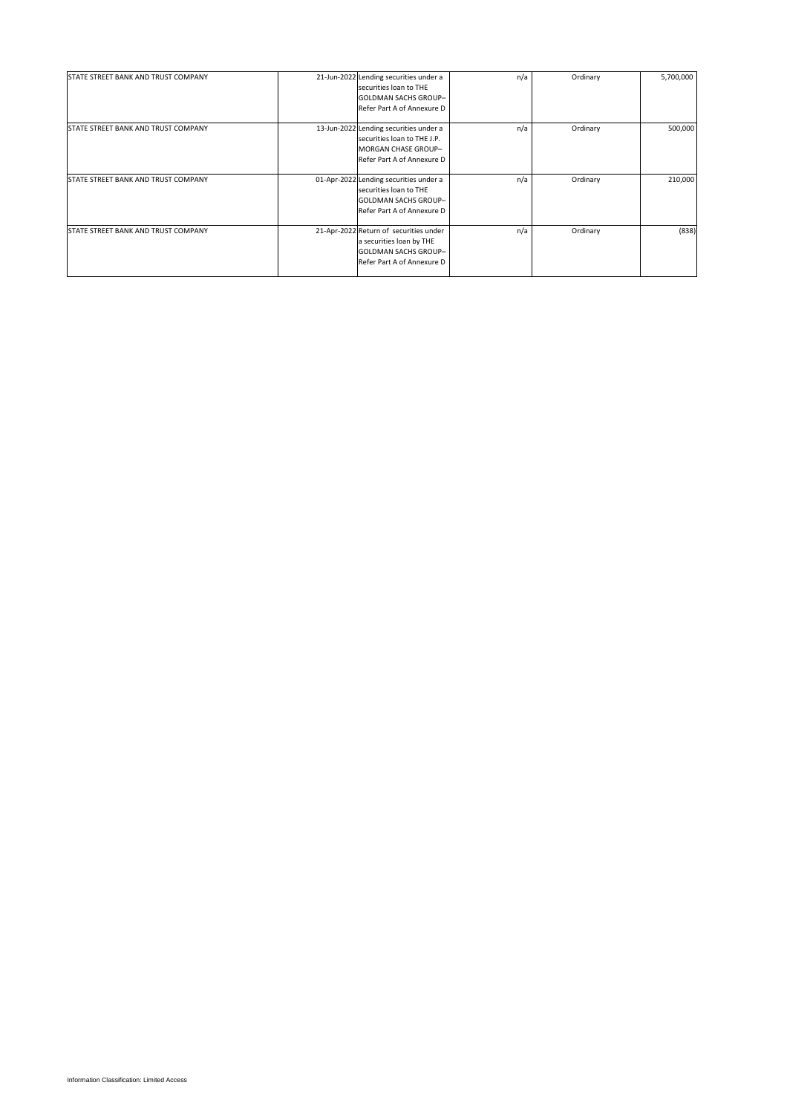| STATE STREET BANK AND TRUST COMPANY        | 21-Jun-2022 Lending securities under a<br>securities loan to THE<br><b>GOLDMAN SACHS GROUP-</b><br>Refer Part A of Annexure D   | n/a | Ordinary | 5,700,000 |
|--------------------------------------------|---------------------------------------------------------------------------------------------------------------------------------|-----|----------|-----------|
| STATE STREET BANK AND TRUST COMPANY        | 13-Jun-2022 Lending securities under a<br>securities loan to THE J.P.<br>MORGAN CHASE GROUP-<br>Refer Part A of Annexure D      | n/a | Ordinary | 500,000   |
| STATE STREET BANK AND TRUST COMPANY        | 01-Apr-2022 Lending securities under a<br>securities loan to THE<br><b>GOLDMAN SACHS GROUP-</b><br>Refer Part A of Annexure D   | n/a | Ordinary | 210,000   |
| <b>STATE STREET BANK AND TRUST COMPANY</b> | 21-Apr-2022 Return of securities under<br>a securities loan by THE<br><b>GOLDMAN SACHS GROUP-</b><br>Refer Part A of Annexure D | n/a | Ordinary | (838)     |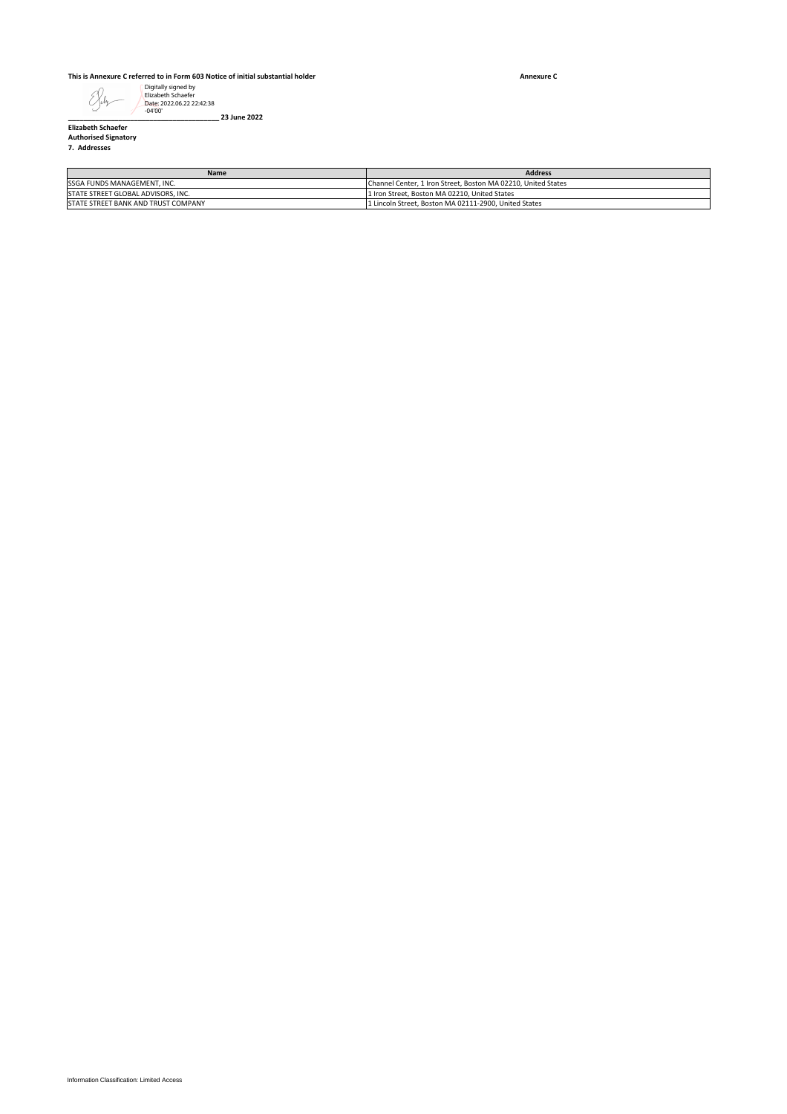#### **This is Annexure C referred to in Form 603 Notice of initial substantial holder**

**Annexure C**

## **Elizabeth Schaefer Authorised Signatory 7. Addresses**

| Digitally signed by<br>Elizabeth Schaefer<br>ŚΧ.<br>Date: 2022.06.22 22:42:38<br>$-04'00'$<br>23 June 2022 |                                                                                                                |  |
|------------------------------------------------------------------------------------------------------------|----------------------------------------------------------------------------------------------------------------|--|
| <b>Elizabeth Schaefer</b><br><b>Authorised Signatory</b><br>7. Addresses                                   |                                                                                                                |  |
| Name                                                                                                       | Address                                                                                                        |  |
| SSGA FUNDS MANAGEMENT, INC.<br>STATE STREET GLOBAL ADVISORS, INC.                                          | Channel Center, 1 Iron Street, Boston MA 02210, United States<br>1 Iron Street, Boston MA 02210, United States |  |
| STATE STREET BANK AND TRUST COMPANY                                                                        | 1 Lincoln Street, Boston MA 02111-2900, United States                                                          |  |
|                                                                                                            |                                                                                                                |  |
|                                                                                                            |                                                                                                                |  |
|                                                                                                            |                                                                                                                |  |
|                                                                                                            |                                                                                                                |  |
|                                                                                                            |                                                                                                                |  |
|                                                                                                            |                                                                                                                |  |
|                                                                                                            |                                                                                                                |  |
|                                                                                                            |                                                                                                                |  |
|                                                                                                            |                                                                                                                |  |
|                                                                                                            |                                                                                                                |  |
|                                                                                                            |                                                                                                                |  |
|                                                                                                            |                                                                                                                |  |
|                                                                                                            |                                                                                                                |  |
|                                                                                                            |                                                                                                                |  |
|                                                                                                            |                                                                                                                |  |
|                                                                                                            |                                                                                                                |  |
|                                                                                                            |                                                                                                                |  |
|                                                                                                            |                                                                                                                |  |
|                                                                                                            |                                                                                                                |  |
|                                                                                                            |                                                                                                                |  |
|                                                                                                            |                                                                                                                |  |
|                                                                                                            |                                                                                                                |  |
|                                                                                                            |                                                                                                                |  |
|                                                                                                            |                                                                                                                |  |
|                                                                                                            |                                                                                                                |  |
|                                                                                                            |                                                                                                                |  |
|                                                                                                            |                                                                                                                |  |
|                                                                                                            |                                                                                                                |  |
|                                                                                                            |                                                                                                                |  |
|                                                                                                            |                                                                                                                |  |
|                                                                                                            |                                                                                                                |  |
|                                                                                                            |                                                                                                                |  |
|                                                                                                            |                                                                                                                |  |
|                                                                                                            |                                                                                                                |  |
|                                                                                                            |                                                                                                                |  |
|                                                                                                            |                                                                                                                |  |
|                                                                                                            |                                                                                                                |  |
|                                                                                                            |                                                                                                                |  |
|                                                                                                            |                                                                                                                |  |
|                                                                                                            |                                                                                                                |  |
|                                                                                                            |                                                                                                                |  |
|                                                                                                            |                                                                                                                |  |
|                                                                                                            |                                                                                                                |  |
|                                                                                                            |                                                                                                                |  |
|                                                                                                            |                                                                                                                |  |
|                                                                                                            |                                                                                                                |  |
|                                                                                                            |                                                                                                                |  |
|                                                                                                            |                                                                                                                |  |
|                                                                                                            |                                                                                                                |  |
|                                                                                                            |                                                                                                                |  |
|                                                                                                            |                                                                                                                |  |
|                                                                                                            |                                                                                                                |  |
|                                                                                                            |                                                                                                                |  |
|                                                                                                            |                                                                                                                |  |
|                                                                                                            |                                                                                                                |  |
|                                                                                                            |                                                                                                                |  |
| Information Classification: Limited Access                                                                 |                                                                                                                |  |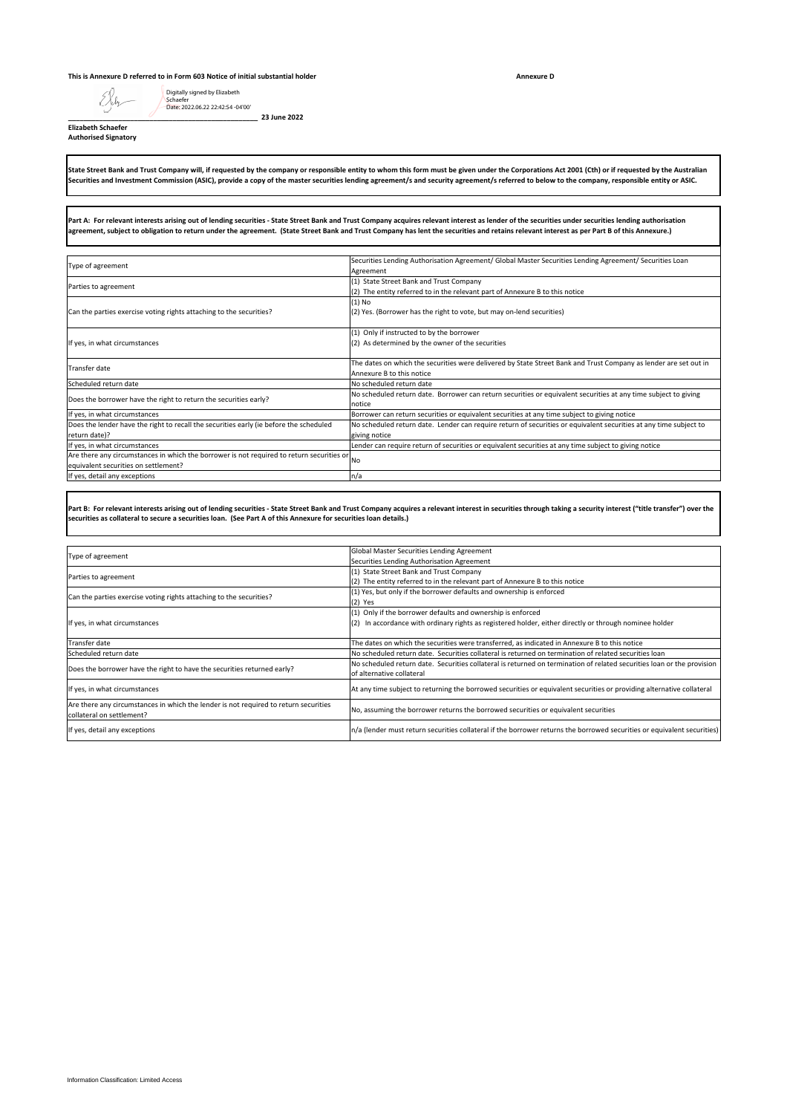#### **This is Annexure D referred to in Form 603 Notice of initial substantial holder**

**Annexure D**

**Elizabeth Schaefer**

EJih

Digitally signed by Elizabeth Schaefer Date: 2022.06.22 22:42:54 -04'00'

**\_\_\_\_\_\_\_\_\_\_\_\_\_\_\_\_\_\_\_\_\_\_\_\_\_\_\_\_\_\_\_\_\_\_\_\_\_\_\_\_\_\_\_\_\_\_\_\_\_ 23 June 2022**

**Authorised Signatory**

State Street Bank and Trust Company will, if requested by the company or responsible entity to whom this form must be given under the Corporations Act 2001 (Cth) or if requested by the Australian<br>Securities and Investment

**Part A: For relevant interests arising out of lending securities - State Street Bank and Trust Company acquires relevant interest as lender of the securities under securities lending authorisation agreement, subject to obligation to return under the agreement. (State Street Bank and Trust Company has lent the securities and retains relevant interest as per Part B of this Annexure.)**

| Type of agreement                                                                         | Securities Lending Authorisation Agreement/ Global Master Securities Lending Agreement/ Securities Loan           |
|-------------------------------------------------------------------------------------------|-------------------------------------------------------------------------------------------------------------------|
|                                                                                           | Agreement                                                                                                         |
| Parties to agreement                                                                      | (1) State Street Bank and Trust Company                                                                           |
|                                                                                           | (2) The entity referred to in the relevant part of Annexure B to this notice                                      |
| Can the parties exercise voting rights attaching to the securities?                       | $(1)$ No                                                                                                          |
|                                                                                           | (2) Yes. (Borrower has the right to vote, but may on-lend securities)                                             |
| If yes, in what circumstances                                                             | (1) Only if instructed to by the borrower                                                                         |
|                                                                                           | (2) As determined by the owner of the securities                                                                  |
| Transfer date                                                                             | The dates on which the securities were delivered by State Street Bank and Trust Company as lender are set out in  |
|                                                                                           | Annexure B to this notice                                                                                         |
| Scheduled return date                                                                     | No scheduled return date                                                                                          |
| Does the borrower have the right to return the securities early?                          | No scheduled return date. Borrower can return securities or equivalent securities at any time subject to giving   |
|                                                                                           | notice                                                                                                            |
| If yes, in what circumstances                                                             | Borrower can return securities or equivalent securities at any time subject to giving notice                      |
| Does the lender have the right to recall the securities early (ie before the scheduled    | No scheduled return date. Lender can require return of securities or equivalent securities at any time subject to |
| return date)?                                                                             | giving notice                                                                                                     |
| If yes, in what circumstances                                                             | Lender can require return of securities or equivalent securities at any time subject to giving notice             |
| Are there any circumstances in which the borrower is not required to return securities or | <b>No</b>                                                                                                         |
| equivalent securities on settlement?                                                      |                                                                                                                   |
| If yes, detail any exceptions                                                             | n/a                                                                                                               |
|                                                                                           |                                                                                                                   |

Part B: For relevant interests arising out of lending securities - State Street Bank and Trust Company acquires a relevant interest in securities through taking a security interest ("title transfer") over the<br>securities as

| Type of agreement                                                                                                 | Global Master Securities Lending Agreement                                                                              |
|-------------------------------------------------------------------------------------------------------------------|-------------------------------------------------------------------------------------------------------------------------|
|                                                                                                                   | Securities Lending Authorisation Agreement                                                                              |
| Parties to agreement                                                                                              | (1) State Street Bank and Trust Company                                                                                 |
|                                                                                                                   | (2) The entity referred to in the relevant part of Annexure B to this notice                                            |
| Can the parties exercise voting rights attaching to the securities?                                               | (1) Yes, but only if the borrower defaults and ownership is enforced                                                    |
|                                                                                                                   | $(2)$ Yes                                                                                                               |
| If yes, in what circumstances                                                                                     | (1) Only if the borrower defaults and ownership is enforced                                                             |
|                                                                                                                   | In accordance with ordinary rights as registered holder, either directly or through nominee holder<br>(2)               |
|                                                                                                                   |                                                                                                                         |
| Transfer date                                                                                                     | The dates on which the securities were transferred, as indicated in Annexure B to this notice                           |
| Scheduled return date                                                                                             | No scheduled return date. Securities collateral is returned on termination of related securities loan                   |
| Does the borrower have the right to have the securities returned early?                                           | No scheduled return date. Securities collateral is returned on termination of related securities loan or the provision  |
|                                                                                                                   | of alternative collateral                                                                                               |
| If yes, in what circumstances                                                                                     | At any time subject to returning the borrowed securities or equivalent securities or providing alternative collateral   |
|                                                                                                                   |                                                                                                                         |
| Are there any circumstances in which the lender is not required to return securities<br>collateral on settlement? | No, assuming the borrower returns the borrowed securities or equivalent securities                                      |
|                                                                                                                   |                                                                                                                         |
| If yes, detail any exceptions                                                                                     | n/a (lender must return securities collateral if the borrower returns the borrowed securities or equivalent securities) |
|                                                                                                                   |                                                                                                                         |
|                                                                                                                   |                                                                                                                         |